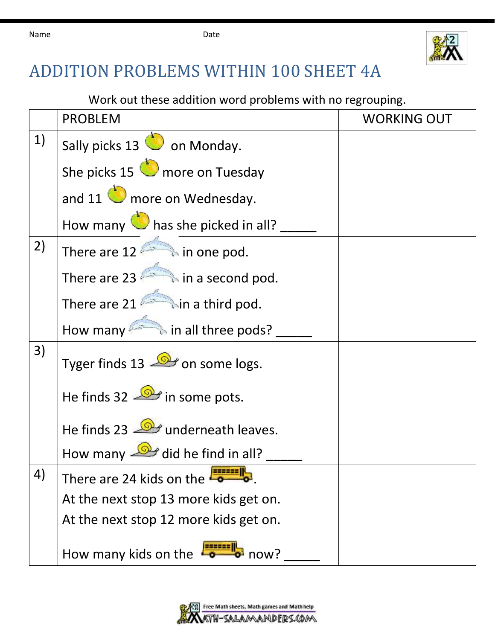

## ADDITION PROBLEMS WITHIN 100 SHEET 4A

Work out these addition word problems with no regrouping.

|    | <b>PROBLEM</b>                                    | <b>WORKING OUT</b> |
|----|---------------------------------------------------|--------------------|
| 1) | Sally picks 13 <b>O</b> on Monday.                |                    |
|    | She picks 15 more on Tuesday                      |                    |
|    | and $11$ $\bullet$ more on Wednesday.             |                    |
|    | How many <b>the same picked in all?</b>           |                    |
| 2) | There are $12$ $\rightarrow$ in one pod.          |                    |
|    | There are 23 $\qquad \qquad$ in a second pod.     |                    |
|    | There are $21$ in a third pod.                    |                    |
|    | How many <b>All in all three pods?</b>            |                    |
| 3) | Tyger finds 13 $\mathbb{R}$ on some logs.         |                    |
|    | He finds 32 $\mathbb{R}$ in some pots.            |                    |
|    | He finds 23 <b>D</b> underneath leaves.           |                    |
|    | How many $\frac{\sqrt{Q}}{Q}$ did he find in all? |                    |
| 4) | There are 24 kids on the                          |                    |
|    | At the next stop 13 more kids get on.             |                    |
|    | At the next stop 12 more kids get on.             |                    |
|    | How many kids on the<br>$\rightarrow$ now?        |                    |